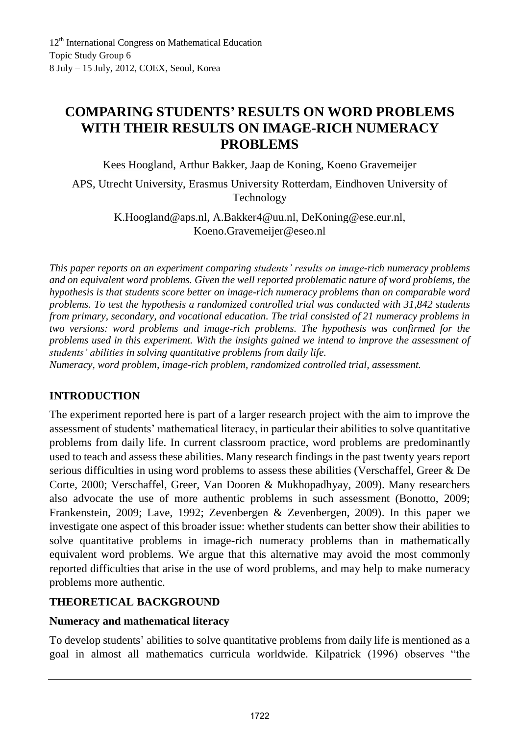# **COMPARING STUDENTS' RESULTS ON WORD PROBLEMS WITH THEIR RESULTS ON IMAGE-RICH NUMERACY PROBLEMS**

Kees Hoogland, Arthur Bakker, Jaap de Koning, Koeno Gravemeijer

APS, Utrecht University, Erasmus University Rotterdam, Eindhoven University of Technology

> [K.Hoogland@aps.nl,](mailto:K.Hoogland@aps.nl) [A.Bakker4@uu.nl,](mailto:A.Bakker4@uu.nl) [DeKoning@ese.eur.nl,](mailto:DeKoning@ese.eur.nl) [Koeno.Gravemeijer@eseo.nl](mailto:Koeno.Gravemeijer@eseo.nl)

*This paper reports on an experiment comparing students' results on image-rich numeracy problems and on equivalent word problems. Given the well reported problematic nature of word problems, the hypothesis is that students score better on image-rich numeracy problems than on comparable word problems. To test the hypothesis a randomized controlled trial was conducted with 31,842 students from primary, secondary, and vocational education. The trial consisted of 21 numeracy problems in two versions: word problems and image-rich problems. The hypothesis was confirmed for the problems used in this experiment. With the insights gained we intend to improve the assessment of students' abilities in solving quantitative problems from daily life.* 

*Numeracy, word problem, image-rich problem, randomized controlled trial, assessment.* 

#### **INTRODUCTION**

The experiment reported here is part of a larger research project with the aim to improve the assessment of students' mathematical literacy, in particular their abilities to solve quantitative problems from daily life. In current classroom practice, word problems are predominantly used to teach and assess these abilities. Many research findings in the past twenty years report serious difficulties in using word problems to assess these abilities (Verschaffel, Greer & De Corte, 2000; Verschaffel, Greer, Van Dooren & Mukhopadhyay, 2009). Many researchers also advocate the use of more authentic problems in such assessment (Bonotto, 2009; Frankenstein, 2009; Lave, 1992; Zevenbergen & Zevenbergen, 2009). In this paper we investigate one aspect of this broader issue: whether students can better show their abilities to solve quantitative problems in image-rich numeracy problems than in mathematically equivalent word problems. We argue that this alternative may avoid the most commonly reported difficulties that arise in the use of word problems, and may help to make numeracy problems more authentic.

### **THEORETICAL BACKGROUND**

#### **Numeracy and mathematical literacy**

To develop students' abilities to solve quantitative problems from daily life is mentioned as a goal in almost all mathematics curricula worldwide. Kilpatrick (1996) observes "the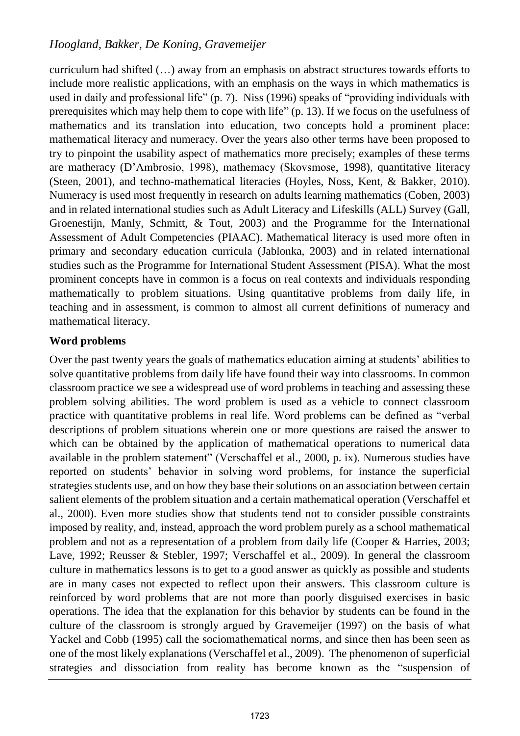curriculum had shifted (…) away from an emphasis on abstract structures towards efforts to include more realistic applications, with an emphasis on the ways in which mathematics is used in daily and professional life" (p. 7). Niss (1996) speaks of "providing individuals with prerequisites which may help them to cope with life" (p. 13). If we focus on the usefulness of mathematics and its translation into education, two concepts hold a prominent place: mathematical literacy and numeracy. Over the years also other terms have been proposed to try to pinpoint the usability aspect of mathematics more precisely; examples of these terms are matheracy (D'Ambrosio, 1998), mathemacy (Skovsmose, 1998), quantitative literacy (Steen, 2001), and techno-mathematical literacies (Hoyles, Noss, Kent, & Bakker, 2010). Numeracy is used most frequently in research on adults learning mathematics (Coben, 2003) and in related international studies such as Adult Literacy and Lifeskills (ALL) Survey (Gall, Groenestijn, Manly, Schmitt, & Tout, 2003) and the Programme for the International Assessment of Adult Competencies (PIAAC). Mathematical literacy is used more often in primary and secondary education curricula (Jablonka, 2003) and in related international studies such as the Programme for International Student Assessment (PISA). What the most prominent concepts have in common is a focus on real contexts and individuals responding mathematically to problem situations. Using quantitative problems from daily life, in teaching and in assessment, is common to almost all current definitions of numeracy and mathematical literacy.

### **Word problems**

Over the past twenty years the goals of mathematics education aiming at students' abilities to solve quantitative problems from daily life have found their way into classrooms. In common classroom practice we see a widespread use of word problems in teaching and assessing these problem solving abilities. The word problem is used as a vehicle to connect classroom practice with quantitative problems in real life. Word problems can be defined as "verbal descriptions of problem situations wherein one or more questions are raised the answer to which can be obtained by the application of mathematical operations to numerical data available in the problem statement" (Verschaffel et al., 2000, p. ix). Numerous studies have reported on students' behavior in solving word problems, for instance the superficial strategies students use, and on how they base their solutions on an association between certain salient elements of the problem situation and a certain mathematical operation (Verschaffel et al., 2000). Even more studies show that students tend not to consider possible constraints imposed by reality, and, instead, approach the word problem purely as a school mathematical problem and not as a representation of a problem from daily life (Cooper & Harries, 2003; Lave, 1992; Reusser & Stebler, 1997; Verschaffel et al., 2009). In general the classroom culture in mathematics lessons is to get to a good answer as quickly as possible and students are in many cases not expected to reflect upon their answers. This classroom culture is reinforced by word problems that are not more than poorly disguised exercises in basic operations. The idea that the explanation for this behavior by students can be found in the culture of the classroom is strongly argued by Gravemeijer (1997) on the basis of what Yackel and Cobb (1995) call the sociomathematical norms, and since then has been seen as one of the most likely explanations (Verschaffel et al., 2009). The phenomenon of superficial strategies and dissociation from reality has become known as the "suspension of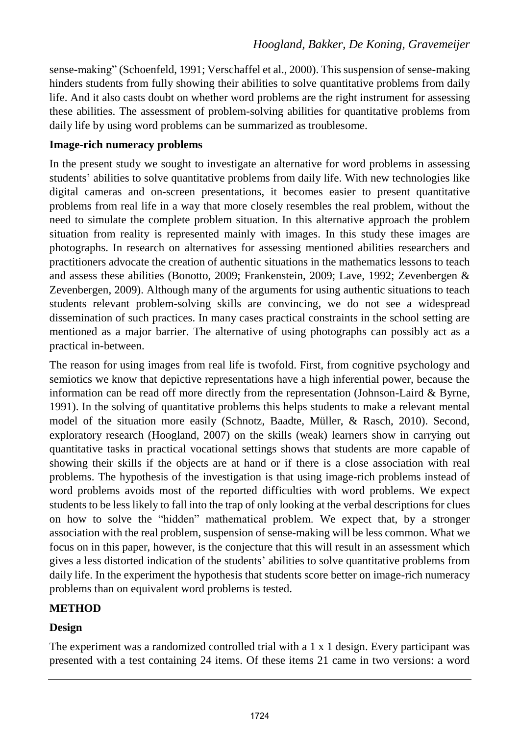sense-making" (Schoenfeld, 1991; Verschaffel et al., 2000). This suspension of sense-making hinders students from fully showing their abilities to solve quantitative problems from daily life. And it also casts doubt on whether word problems are the right instrument for assessing these abilities. The assessment of problem-solving abilities for quantitative problems from daily life by using word problems can be summarized as troublesome.

#### **Image-rich numeracy problems**

In the present study we sought to investigate an alternative for word problems in assessing students' abilities to solve quantitative problems from daily life. With new technologies like digital cameras and on-screen presentations, it becomes easier to present quantitative problems from real life in a way that more closely resembles the real problem, without the need to simulate the complete problem situation. In this alternative approach the problem situation from reality is represented mainly with images. In this study these images are photographs. In research on alternatives for assessing mentioned abilities researchers and practitioners advocate the creation of authentic situations in the mathematics lessons to teach and assess these abilities (Bonotto, 2009; Frankenstein, 2009; Lave, 1992; Zevenbergen & Zevenbergen, 2009). Although many of the arguments for using authentic situations to teach students relevant problem-solving skills are convincing, we do not see a widespread dissemination of such practices. In many cases practical constraints in the school setting are mentioned as a major barrier. The alternative of using photographs can possibly act as a practical in-between.

The reason for using images from real life is twofold. First, from cognitive psychology and semiotics we know that depictive representations have a high inferential power, because the information can be read off more directly from the representation (Johnson-Laird & Byrne, 1991). In the solving of quantitative problems this helps students to make a relevant mental model of the situation more easily (Schnotz, Baadte, Müller, & Rasch, 2010). Second, exploratory research (Hoogland, 2007) on the skills (weak) learners show in carrying out quantitative tasks in practical vocational settings shows that students are more capable of showing their skills if the objects are at hand or if there is a close association with real problems. The hypothesis of the investigation is that using image-rich problems instead of word problems avoids most of the reported difficulties with word problems. We expect students to be less likely to fall into the trap of only looking at the verbal descriptions for clues on how to solve the "hidden" mathematical problem. We expect that, by a stronger association with the real problem, suspension of sense-making will be less common. What we focus on in this paper, however, is the conjecture that this will result in an assessment which gives a less distorted indication of the students' abilities to solve quantitative problems from daily life. In the experiment the hypothesis that students score better on image-rich numeracy problems than on equivalent word problems is tested.

#### **METHOD**

### **Design**

The experiment was a randomized controlled trial with a 1 x 1 design. Every participant was presented with a test containing 24 items. Of these items 21 came in two versions: a word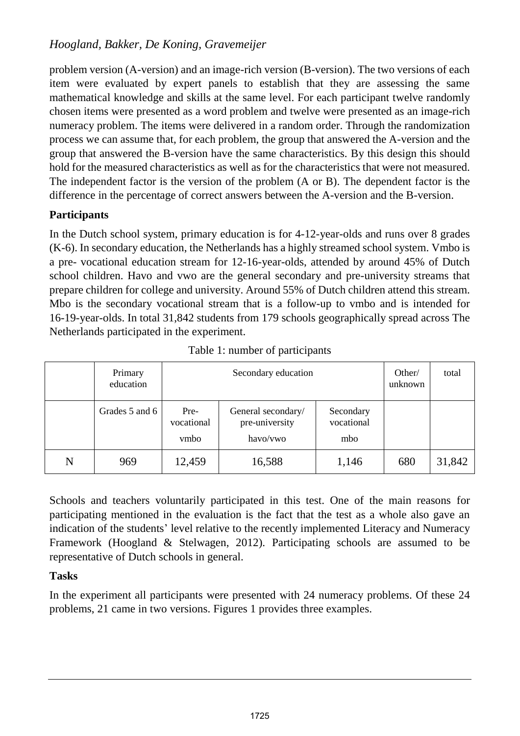problem version (A-version) and an image-rich version (B-version). The two versions of each item were evaluated by expert panels to establish that they are assessing the same mathematical knowledge and skills at the same level. For each participant twelve randomly chosen items were presented as a word problem and twelve were presented as an image-rich numeracy problem. The items were delivered in a random order. Through the randomization process we can assume that, for each problem, the group that answered the A-version and the group that answered the B-version have the same characteristics. By this design this should hold for the measured characteristics as well as for the characteristics that were not measured. The independent factor is the version of the problem (A or B). The dependent factor is the difference in the percentage of correct answers between the A-version and the B-version.

### **Participants**

In the Dutch school system, primary education is for 4-12-year-olds and runs over 8 grades (K-6). In secondary education, the Netherlands has a highly streamed school system. Vmbo is a pre- vocational education stream for 12-16-year-olds, attended by around 45% of Dutch school children. Havo and vwo are the general secondary and pre-university streams that prepare children for college and university. Around 55% of Dutch children attend this stream. Mbo is the secondary vocational stream that is a follow-up to vmbo and is intended for 16-19-year-olds. In total 31,842 students from 179 schools geographically spread across The Netherlands participated in the experiment.

|   | Primary<br>education | Secondary education        |                                                  |                                | Other/<br>unknown | total  |
|---|----------------------|----------------------------|--------------------------------------------------|--------------------------------|-------------------|--------|
|   | Grades 5 and 6       | Pre-<br>vocational<br>vmbo | General secondary/<br>pre-university<br>havo/vwo | Secondary<br>vocational<br>mbo |                   |        |
| N | 969                  | 12,459                     | 16,588                                           | 1,146                          | 680               | 31,842 |

Schools and teachers voluntarily participated in this test. One of the main reasons for participating mentioned in the evaluation is the fact that the test as a whole also gave an indication of the students' level relative to the recently implemented Literacy and Numeracy Framework (Hoogland & Stelwagen, 2012). Participating schools are assumed to be representative of Dutch schools in general.

#### **Tasks**

In the experiment all participants were presented with 24 numeracy problems. Of these 24 problems, 21 came in two versions. Figures 1 provides three examples.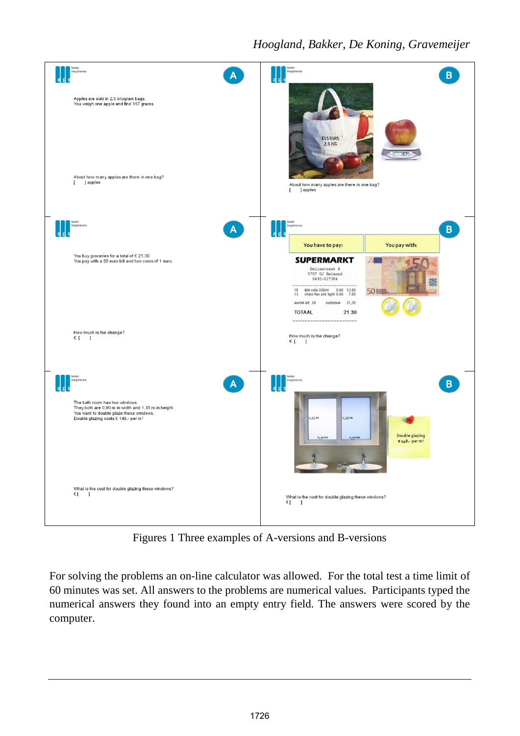

Figures 1 Three examples of A-versions and B-versions

For solving the problems an on-line calculator was allowed. For the total test a time limit of 60 minutes was set. All answers to the problems are numerical values. Participants typed the numerical answers they found into an empty entry field. The answers were scored by the computer.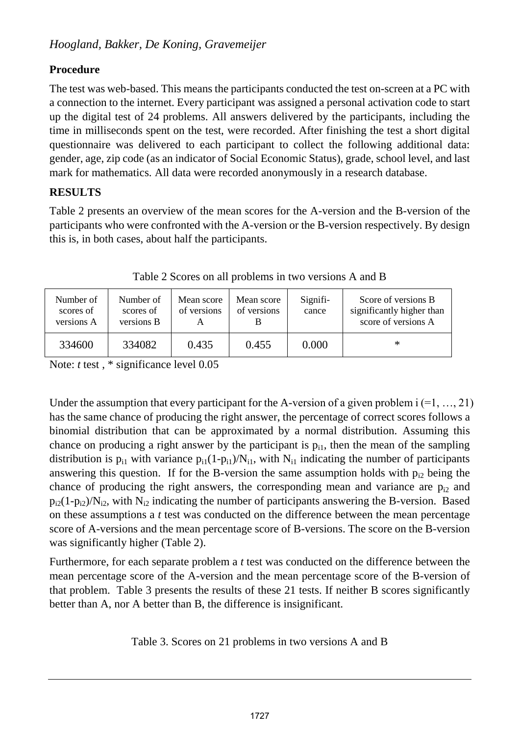# **Procedure**

The test was web-based. This means the participants conducted the test on-screen at a PC with a connection to the internet. Every participant was assigned a personal activation code to start up the digital test of 24 problems. All answers delivered by the participants, including the time in milliseconds spent on the test, were recorded. After finishing the test a short digital questionnaire was delivered to each participant to collect the following additional data: gender, age, zip code (as an indicator of Social Economic Status), grade, school level, and last mark for mathematics. All data were recorded anonymously in a research database.

## **RESULTS**

Table 2 presents an overview of the mean scores for the A-version and the B-version of the participants who were confronted with the A-version or the B-version respectively. By design this is, in both cases, about half the participants.

| Number of<br>scores of<br>versions A | Number of<br>scores of<br>versions B | Mean score<br>of versions<br>А | Mean score<br>of versions | Signifi-<br>cance | Score of versions B<br>significantly higher than<br>score of versions A |
|--------------------------------------|--------------------------------------|--------------------------------|---------------------------|-------------------|-------------------------------------------------------------------------|
| 334600                               | 334082                               | 0.435                          | 0.455                     | 0.000             | $\ast$                                                                  |

Table 2 Scores on all problems in two versions A and B

Note: *t* test, \* significance level 0.05

Under the assumption that every participant for the A-version of a given problem  $i$  (=1, …, 21) has the same chance of producing the right answer, the percentage of correct scores follows a binomial distribution that can be approximated by a normal distribution. Assuming this chance on producing a right answer by the participant is  $p_{i1}$ , then the mean of the sampling distribution is  $p_{i1}$  with variance  $p_{i1}(1-p_{i1})/N_{i1}$ , with  $N_{i1}$  indicating the number of participants answering this question. If for the B-version the same assumption holds with  $p_{i2}$  being the chance of producing the right answers, the corresponding mean and variance are  $p_{i2}$  and  $p_{i2}(1-p_{i2})/N_{i2}$ , with  $N_{i2}$  indicating the number of participants answering the B-version. Based on these assumptions a *t* test was conducted on the difference between the mean percentage score of A-versions and the mean percentage score of B-versions. The score on the B-version was significantly higher (Table 2).

Furthermore, for each separate problem a *t* test was conducted on the difference between the mean percentage score of the A-version and the mean percentage score of the B-version of that problem. Table 3 presents the results of these 21 tests. If neither B scores significantly better than A, nor A better than B, the difference is insignificant.

Table 3. Scores on 21 problems in two versions A and B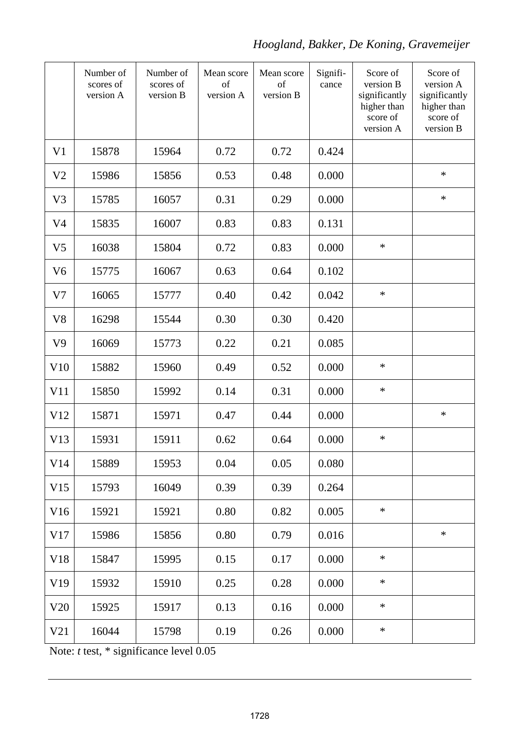|                | Number of<br>scores of<br>version A | Number of<br>scores of<br>version B | Mean score<br>of<br>version A | Mean score<br>of<br>version B | Signifi-<br>cance | Score of<br>version B<br>significantly<br>higher than<br>score of<br>version A | Score of<br>version A<br>significantly<br>higher than<br>score of<br>version B |
|----------------|-------------------------------------|-------------------------------------|-------------------------------|-------------------------------|-------------------|--------------------------------------------------------------------------------|--------------------------------------------------------------------------------|
| V <sub>1</sub> | 15878                               | 15964                               | 0.72                          | 0.72                          | 0.424             |                                                                                |                                                                                |
| V <sub>2</sub> | 15986                               | 15856                               | 0.53                          | 0.48                          | 0.000             |                                                                                | $\ast$                                                                         |
| V <sub>3</sub> | 15785                               | 16057                               | 0.31                          | 0.29                          | 0.000             |                                                                                | $\ast$                                                                         |
| V <sub>4</sub> | 15835                               | 16007                               | 0.83                          | 0.83                          | 0.131             |                                                                                |                                                                                |
| V <sub>5</sub> | 16038                               | 15804                               | 0.72                          | 0.83                          | 0.000             | $\ast$                                                                         |                                                                                |
| V <sub>6</sub> | 15775                               | 16067                               | 0.63                          | 0.64                          | 0.102             |                                                                                |                                                                                |
| V <sub>7</sub> | 16065                               | 15777                               | 0.40                          | 0.42                          | 0.042             | $\ast$                                                                         |                                                                                |
| V8             | 16298                               | 15544                               | 0.30                          | 0.30                          | 0.420             |                                                                                |                                                                                |
| V <sub>9</sub> | 16069                               | 15773                               | 0.22                          | 0.21                          | 0.085             |                                                                                |                                                                                |
| V10            | 15882                               | 15960                               | 0.49                          | 0.52                          | 0.000             | $\ast$                                                                         |                                                                                |
| V11            | 15850                               | 15992                               | 0.14                          | 0.31                          | 0.000             | $\ast$                                                                         |                                                                                |
| V12            | 15871                               | 15971                               | 0.47                          | 0.44                          | 0.000             |                                                                                | $\ast$                                                                         |
| V13            | 15931                               | 15911                               | 0.62                          | 0.64                          | 0.000             | $\ast$                                                                         |                                                                                |
| V14            | 15889                               | 15953                               | 0.04                          | 0.05                          | 0.080             |                                                                                |                                                                                |
| V15            | 15793                               | 16049                               | 0.39                          | 0.39                          | 0.264             |                                                                                |                                                                                |
| V16            | 15921                               | 15921                               | 0.80                          | 0.82                          | 0.005             | $\ast$                                                                         |                                                                                |
| V17            | 15986                               | 15856                               | 0.80                          | 0.79                          | 0.016             |                                                                                | $\ast$                                                                         |
| V18            | 15847                               | 15995                               | 0.15                          | 0.17                          | 0.000             | $\ast$                                                                         |                                                                                |
| V19            | 15932                               | 15910                               | 0.25                          | 0.28                          | 0.000             | $\ast$                                                                         |                                                                                |
| V20            | 15925                               | 15917                               | 0.13                          | 0.16                          | 0.000             | $\ast$                                                                         |                                                                                |
| V21            | 16044                               | 15798                               | 0.19                          | 0.26                          | 0.000             | $\ast$                                                                         |                                                                                |

Note: *t* test, \* significance level 0.05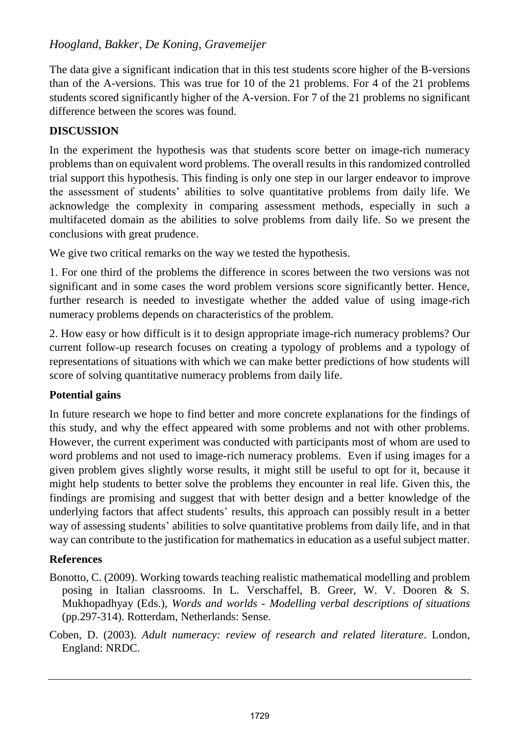The data give a significant indication that in this test students score higher of the B-versions than of the A-versions. This was true for 10 of the 21 problems. For 4 of the 21 problems students scored significantly higher of the A-version. For 7 of the 21 problems no significant difference between the scores was found.

#### **DISCUSSION**

In the experiment the hypothesis was that students score better on image-rich numeracy problems than on equivalent word problems. The overall results in this randomized controlled trial support this hypothesis. This finding is only one step in our larger endeavor to improve the assessment of students' abilities to solve quantitative problems from daily life. We acknowledge the complexity in comparing assessment methods, especially in such a multifaceted domain as the abilities to solve problems from daily life. So we present the conclusions with great prudence.

We give two critical remarks on the way we tested the hypothesis.

1. For one third of the problems the difference in scores between the two versions was not significant and in some cases the word problem versions score significantly better. Hence, further research is needed to investigate whether the added value of using image-rich numeracy problems depends on characteristics of the problem.

2. How easy or how difficult is it to design appropriate image-rich numeracy problems? Our current follow-up research focuses on creating a typology of problems and a typology of representations of situations with which we can make better predictions of how students will score of solving quantitative numeracy problems from daily life.

### **Potential gains**

In future research we hope to find better and more concrete explanations for the findings of this study, and why the effect appeared with some problems and not with other problems. However, the current experiment was conducted with participants most of whom are used to word problems and not used to image-rich numeracy problems. Even if using images for a given problem gives slightly worse results, it might still be useful to opt for it, because it might help students to better solve the problems they encounter in real life. Given this, the findings are promising and suggest that with better design and a better knowledge of the underlying factors that affect students' results, this approach can possibly result in a better way of assessing students' abilities to solve quantitative problems from daily life, and in that way can contribute to the justification for mathematics in education as a useful subject matter.

#### **References**

- Bonotto, C. (2009). Working towards teaching realistic mathematical modelling and problem posing in Italian classrooms. In L. Verschaffel, B. Greer, W. V. Dooren & S. Mukhopadhyay (Eds.), *Words and worlds - Modelling verbal descriptions of situations* (pp.297-314). Rotterdam, Netherlands: Sense.
- Coben, D. (2003). *Adult numeracy: review of research and related literature*. London, England: NRDC.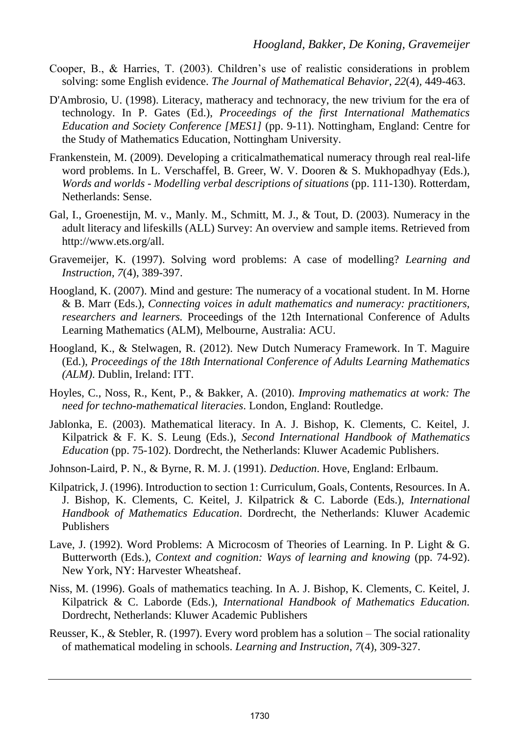- Cooper, B., & Harries, T. (2003). Children's use of realistic considerations in problem solving: some English evidence. *The Journal of Mathematical Behavior*, *22*(4)*,* 449-463.
- D'Ambrosio, U. (1998). Literacy, matheracy and technoracy, the new trivium for the era of technology. In P. Gates (Ed.), *Proceedings of the first International Mathematics Education and Society Conference [MES1]* (pp. 9-11). Nottingham, England: Centre for the Study of Mathematics Education, Nottingham University.
- Frankenstein, M. (2009). Developing a criticalmathematical numeracy through real real-life word problems. In L. Verschaffel, B. Greer, W. V. Dooren & S. Mukhopadhyay (Eds.), *Words and worlds - Modelling verbal descriptions of situations* (pp. 111-130). Rotterdam, Netherlands: Sense.
- Gal, I., Groenestijn, M. v., Manly. M., Schmitt, M. J., & Tout, D. (2003). Numeracy in the adult literacy and lifeskills (ALL) Survey: An overview and sample items. Retrieved from http://www.ets.org/all.
- Gravemeijer, K. (1997). Solving word problems: A case of modelling? *Learning and Instruction, 7*(4), 389-397.
- Hoogland, K. (2007). Mind and gesture: The numeracy of a vocational student. In M. Horne & B. Marr (Eds.), *Connecting voices in adult mathematics and numeracy: practitioners, researchers and learners.* Proceedings of the 12th International Conference of Adults Learning Mathematics (ALM), Melbourne, Australia: ACU.
- Hoogland, K., & Stelwagen, R. (2012). New Dutch Numeracy Framework. In T. Maguire (Ed.), *Proceedings of the 18th International Conference of Adults Learning Mathematics (ALM)*. Dublin, Ireland: ITT.
- Hoyles, C., Noss, R., Kent, P., & Bakker, A. (2010). *Improving mathematics at work: The need for techno-mathematical literacies*. London, England: Routledge.
- Jablonka, E. (2003). Mathematical literacy. In A. J. Bishop, K. Clements, C. Keitel, J. Kilpatrick & F. K. S. Leung (Eds.), *Second International Handbook of Mathematics Education* (pp. 75-102). Dordrecht, the Netherlands: Kluwer Academic Publishers.
- Johnson-Laird, P. N., & Byrne, R. M. J. (1991). *Deduction*. Hove, England: Erlbaum.
- Kilpatrick, J. (1996). Introduction to section 1: Curriculum, Goals, Contents, Resources. In A. J. Bishop, K. Clements, C. Keitel, J. Kilpatrick & C. Laborde (Eds.), *International Handbook of Mathematics Education*. Dordrecht, the Netherlands: Kluwer Academic Publishers
- Lave, J. (1992). Word Problems: A Microcosm of Theories of Learning. In P. Light & G. Butterworth (Eds.), *Context and cognition: Ways of learning and knowing* (pp. 74-92). New York, NY: Harvester Wheatsheaf.
- Niss, M. (1996). Goals of mathematics teaching. In A. J. Bishop, K. Clements, C. Keitel, J. Kilpatrick & C. Laborde (Eds.), *International Handbook of Mathematics Education.* Dordrecht, Netherlands: Kluwer Academic Publishers
- Reusser, K., & Stebler, R. (1997). Every word problem has a solution The social rationality of mathematical modeling in schools. *Learning and Instruction*, *7*(4), 309-327.